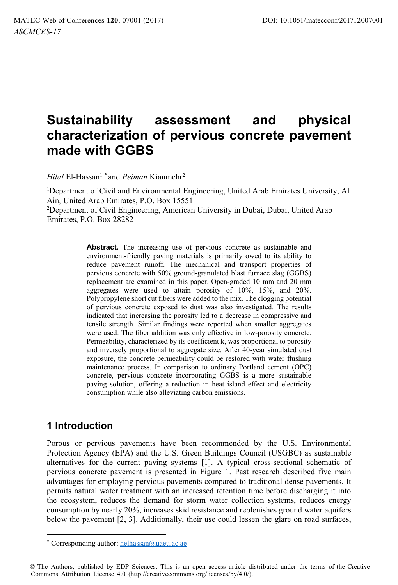# **Sustainability assessment and physical characterization of pervious concrete pavement made with GGBS**

*Hilal* El-Hassan<sup>1,\*</sup> and *Peiman* Kianmehr<sup>2</sup>

<sup>1</sup>Department of Civil and Environmental Engineering, United Arab Emirates University, Al Ain, United Arab Emirates, P.O. Box 15551 2 Department of Civil Engineering, American University in Dubai, Dubai, United Arab

Emirates, P.O. Box 28282

Abstract. The increasing use of pervious concrete as sustainable and environment-friendly paving materials is primarily owed to its ability to reduce pavement runoff. The mechanical and transport properties of pervious concrete with 50% ground-granulated blast furnace slag (GGBS) replacement are examined in this paper. Open-graded 10 mm and 20 mm aggregates were used to attain porosity of 10%, 15%, and 20%. Polypropylene short cut fibers were added to the mix. The clogging potential of pervious concrete exposed to dust was also investigated. The results indicated that increasing the porosity led to a decrease in compressive and tensile strength. Similar findings were reported when smaller aggregates were used. The fiber addition was only effective in low-porosity concrete. Permeability, characterized by its coefficient k, was proportional to porosity and inversely proportional to aggregate size. After 40-year simulated dust exposure, the concrete permeability could be restored with water flushing maintenance process. In comparison to ordinary Portland cement (OPC) concrete, pervious concrete incorporating GGBS is a more sustainable paving solution, offering a reduction in heat island effect and electricity consumption while also alleviating carbon emissions.

### **1 Introduction**

Porous or pervious pavements have been recommended by the U.S. Environmental Protection Agency (EPA) and the U.S. Green Buildings Council (USGBC) as sustainable alternatives for the current paving systems [1]. A typical cross-sectional schematic of pervious concrete pavement is presented in Figure 1. Past research described five main advantages for employing pervious pavements compared to traditional dense pavements. It permits natural water treatment with an increased retention time before discharging it into the ecosystem, reduces the demand for storm water collection systems, reduces energy consumption by nearly 20%, increases skid resistance and replenishes ground water aquifers below the pavement [2, 3]. Additionally, their use could lessen the glare on road surfaces,

<sup>\*</sup> Corresponding author: helhassan@uaeu.ac.ae

<sup>©</sup> The Authors, published by EDP Sciences. This is an open access article distributed under the terms of the Creative Commons Attribution License 4.0 (http://creativecommons.org/licenses/by/4.0/).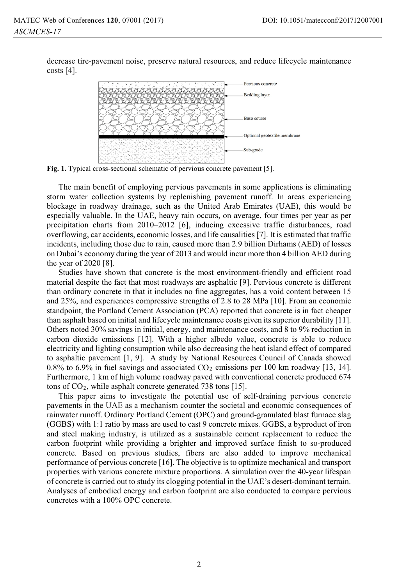decrease tire-pavement noise, preserve natural resources, and reduce lifecycle maintenance costs  $[4]$ .



**Fig. 1.** Typical cross-sectional schematic of pervious concrete pavement [5].

The main benefit of employing pervious pavements in some applications is eliminating storm water collection systems by replenishing pavement runoff. In areas experiencing blockage in roadway drainage, such as the United Arab Emirates (UAE), this would be especially valuable. In the UAE, heavy rain occurs, on average, four times per year as per precipitation charts from 2010–2012 [6], inducing excessive traffic disturbances, road overflowing, car accidents, economic losses, and life causalities [7]. It is estimated that traffic incidents, including those due to rain, caused more than 2.9 billion Dirhams (AED) of losses on Dubai's economy during the year of 2013 and would incur more than 4 billion AED during the year of 2020 [8].

Studies have shown that concrete is the most environment-friendly and efficient road material despite the fact that most roadways are asphaltic [9]. Pervious concrete is different than ordinary concrete in that it includes no fine aggregates, has a void content between 15 and 25%, and experiences compressive strengths of 2.8 to 28 MPa [10]. From an economic standpoint, the Portland Cement Association (PCA) reported that concrete is in fact cheaper than asphalt based on initial and lifecycle maintenance costs given its superior durability [11]. Others noted 30% savings in initial, energy, and maintenance costs, and 8 to 9% reduction in carbon dioxide emissions [12]. With a higher albedo value, concrete is able to reduce electricity and lighting consumption while also decreasing the heat island effect of compared to asphaltic pavement [1, 9]. A study by National Resources Council of Canada showed 0.8% to 6.9% in fuel savings and associated  $CO<sub>2</sub>$  emissions per 100 km roadway [13, 14]. Furthermore, 1 km of high volume roadway paved with conventional concrete produced 674 tons of  $CO<sub>2</sub>$ , while asphalt concrete generated 738 tons [15].

This paper aims to investigate the potential use of self-draining pervious concrete pavements in the UAE as a mechanism counter the societal and economic consequences of rainwater runoff. Ordinary Portland Cement (OPC) and ground-granulated blast furnace slag (GGBS) with 1:1 ratio by mass are used to cast 9 concrete mixes. GGBS, a byproduct of iron and steel making industry, is utilized as a sustainable cement replacement to reduce the carbon footprint while providing a brighter and improved surface finish to so-produced concrete. Based on previous studies, fibers are also added to improve mechanical performance of pervious concrete [16]. The objective is to optimize mechanical and transport properties with various concrete mixture proportions. A simulation over the 40-year lifespan of concrete is carried out to study its clogging potential in the UAE's desert-dominant terrain. Analyses of embodied energy and carbon footprint are also conducted to compare pervious concretes with a 100% OPC concrete.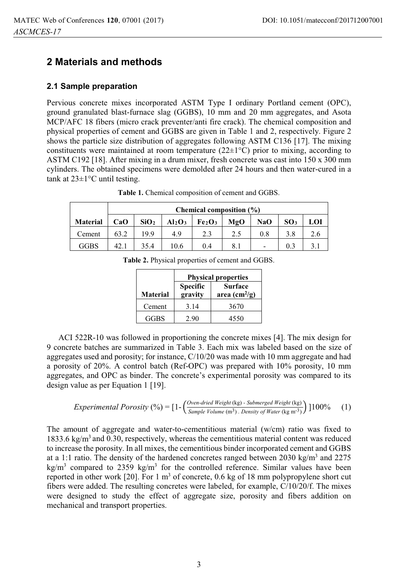## **2 Materials and methods**

### **2.1 Sample preparation**

Pervious concrete mixes incorporated ASTM Type I ordinary Portland cement (OPC), ground granulated blast-furnace slag (GGBS), 10 mm and 20 mm aggregates, and Asota MCP/AFC 18 fibers (micro crack preventer/anti fire crack). The chemical composition and physical properties of cement and GGBS are given in Table 1 and 2, respectively. Figure 2 shows the particle size distribution of aggregates following ASTM C136 [17]. The mixing constituents were maintained at room temperature  $(22\pm1\text{°C})$  prior to mixing, according to ASTM C192 [18]. After mixing in a drum mixer, fresh concrete was cast into 150 x 300 mm cylinders. The obtained specimens were demolded after 24 hours and then water-cured in a tank at 23±1°C until testing.

|                 | Chemical composition (%) |                  |           |                                |     |                          |                 |     |
|-----------------|--------------------------|------------------|-----------|--------------------------------|-----|--------------------------|-----------------|-----|
| <b>Material</b> | CaO                      | SiO <sub>2</sub> | $Al_2O_3$ | Fe <sub>2</sub> O <sub>3</sub> | MgO | NaO                      | SO <sub>3</sub> | LOI |
| Cement          | 63.2                     | 19.9             | 4.9       | 2.3                            | 2.5 | 0.8                      | 3.8             |     |
| GGBS            | 42.1                     | 35.4             | 10.6      | 0.4                            | 8.1 | $\overline{\phantom{0}}$ | 0.3             |     |

**Table 1.** Chemical composition of cement and GGBS.

|                 | <b>Physical properties</b> |                                                 |  |  |
|-----------------|----------------------------|-------------------------------------------------|--|--|
| <b>Material</b> | <b>Specific</b><br>gravity | <b>Surface</b><br>area $\text{(cm}^2/\text{g})$ |  |  |
| Cement          | 3.14                       | 3670                                            |  |  |
| <b>GGBS</b>     | 2.90                       | 4550                                            |  |  |

**Table 2.** Physical properties of cement and GGBS.

ACI 522R-10 was followed in proportioning the concrete mixes [4]. The mix design for 9 concrete batches are summarized in Table 3. Each mix was labeled based on the size of aggregates used and porosity; for instance, C/10/20 was made with 10 mm aggregate and had a porosity of 20%. A control batch (Ref-OPC) was prepared with 10% porosity, 10 mm aggregates, and OPC as binder. The concrete's experimental porosity was compared to its design value as per Equation 1 [19].

*Experimental Porosity* (
$$
\frac{9}{6}
$$
) =  $[1 - \left(\frac{Oven\text{-}dried Weight \ (kg)}{Sample Volume \ (m^3)} \cdot \text{Density of Water} \ (kg \ m^3)\right)]100\%$  (1)

The amount of aggregate and water-to-cementitious material (w/cm) ratio was fixed to 1833.6 kg/ $m<sup>3</sup>$  and 0.30, respectively, whereas the cementitious material content was reduced to increase the porosity. In all mixes, the cementitious binder incorporated cement and GGBS at a 1:1 ratio. The density of the hardened concretes ranged between 2030 kg/m<sup>3</sup> and 2275 kg/m<sup>3</sup> compared to 2359 kg/m<sup>3</sup> for the controlled reference. Similar values have been reported in other work [20]. For  $1 \text{ m}^3$  of concrete, 0.6 kg of 18 mm polypropylene short cut fibers were added. The resulting concretes were labeled, for example, C/10/20/f. The mixes were designed to study the effect of aggregate size, porosity and fibers addition on mechanical and transport properties.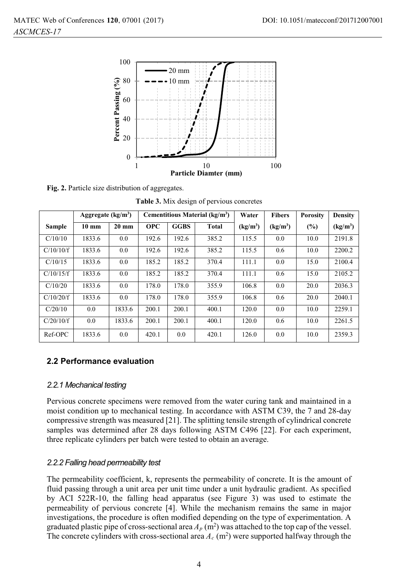

**Fig. 2.** Particle size distribution of aggregates.

| Table 3. Mix design of pervious concretes |  |  |
|-------------------------------------------|--|--|
|-------------------------------------------|--|--|

|               | Aggregate $(kg/m3)$ |                 | Cementitious Material (kg/m <sup>3</sup> ) |             |       | Water                | <b>Fibers</b>        | <b>Porosity</b> | Density              |
|---------------|---------------------|-----------------|--------------------------------------------|-------------|-------|----------------------|----------------------|-----------------|----------------------|
| <b>Sample</b> | $10 \text{ mm}$     | $20 \text{ mm}$ | <b>OPC</b>                                 | <b>GGBS</b> | Total | (kg/m <sup>3</sup> ) | (kg/m <sup>3</sup> ) | (%)             | (kg/m <sup>3</sup> ) |
| C/10/10       | 1833.6              | 0.0             | 192.6                                      | 192.6       | 385.2 | 115.5                | 0.0                  | 10.0            | 2191.8               |
| C/10/10/f     | 1833.6              | 0.0             | 192.6                                      | 192.6       | 385.2 | 115.5                | 0.6                  | 10.0            | 2200.2               |
| C/10/15       | 1833.6              | 0.0             | 185.2                                      | 185.2       | 370.4 | 111.1                | 0.0                  | 15.0            | 2100.4               |
| C/10/15/f     | 1833.6              | 0.0             | 185.2                                      | 185.2       | 370.4 | 111.1                | 0.6                  | 15.0            | 2105.2               |
| C/10/20       | 1833.6              | 0.0             | 178.0                                      | 178.0       | 355.9 | 106.8                | 0.0                  | 20.0            | 2036.3               |
| C/10/20/f     | 1833.6              | 0.0             | 178.0                                      | 178.0       | 355.9 | 106.8                | 0.6                  | 20.0            | 2040.1               |
| C/20/10       | 0.0                 | 1833.6          | 200.1                                      | 200.1       | 400.1 | 120.0                | 0.0                  | 10.0            | 2259.1               |
| C/20/10/f     | 0.0                 | 1833.6          | 200.1                                      | 200.1       | 400.1 | 120.0                | 0.6                  | 10.0            | 2261.5               |
| Ref-OPC       | 1833.6              | 0.0             | 420.1                                      | 0.0         | 420.1 | 126.0                | 0.0                  | 10.0            | 2359.3               |

### **2.2 Performance evaluation**

#### *2.2.1 Mechanical testing*

Pervious concrete specimens were removed from the water curing tank and maintained in a moist condition up to mechanical testing. In accordance with ASTM C39, the 7 and 28-day compressive strength was measured [21]. The splitting tensile strength of cylindrical concrete samples was determined after 28 days following ASTM C496 [22]. For each experiment, three replicate cylinders per batch were tested to obtain an average.

### *2.2.2 Falling head permeability test*

The permeability coefficient, k, represents the permeability of concrete. It is the amount of fluid passing through a unit area per unit time under a unit hydraulic gradient. As specified by ACI 522R-10, the falling head apparatus (see Figure 3) was used to estimate the permeability of pervious concrete [4]. While the mechanism remains the same in major investigations, the procedure is often modified depending on the type of experimentation. A graduated plastic pipe of cross-sectional area  $A_p$  (m<sup>2</sup>) was attached to the top cap of the vessel. The concrete cylinders with cross-sectional area  $A_c$  (m<sup>2</sup>) were supported halfway through the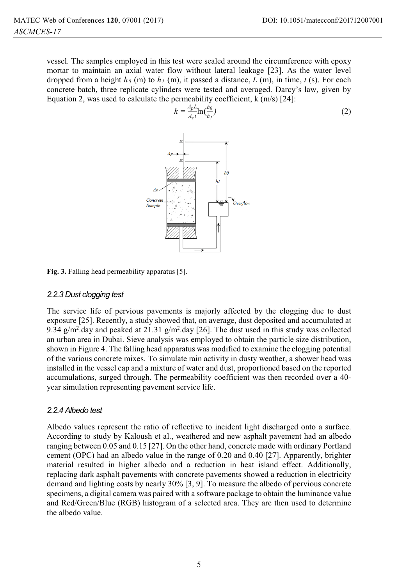vessel. The samples employed in this test were sealed around the circumference with epoxy mortar to maintain an axial water flow without lateral leakage [23]. As the water level dropped from a height  $h_0$  (m) to  $h_1$  (m), it passed a distance, *L* (m), in time, *t* (s). For each concrete batch, three replicate cylinders were tested and averaged. Darcy's law, given by Equation 2, was used to calculate the permeability coefficient, k (m/s) [24]:



**Fig. 3.** Falling head permeability apparatus [5].

#### *2.2.3 Dust clogging test*

The service life of pervious pavements is majorly affected by the clogging due to dust exposure [25]. Recently, a study showed that, on average, dust deposited and accumulated at 9.34  $g/m^2$ .day and peaked at 21.31  $g/m^2$ .day [26]. The dust used in this study was collected an urban area in Dubai. Sieve analysis was employed to obtain the particle size distribution, shown in Figure 4. The falling head apparatus was modified to examine the clogging potential of the various concrete mixes. To simulate rain activity in dusty weather, a shower head was installed in the vessel cap and a mixture of water and dust, proportioned based on the reported accumulations, surged through. The permeability coefficient was then recorded over a 40 year simulation representing pavement service life.

### *2.2.4 Albedo test*

Albedo values represent the ratio of reflective to incident light discharged onto a surface. According to study by Kaloush et al., weathered and new asphalt pavement had an albedo ranging between 0.05 and 0.15 [27]. On the other hand, concrete made with ordinary Portland cement (OPC) had an albedo value in the range of 0.20 and 0.40 [27]. Apparently, brighter material resulted in higher albedo and a reduction in heat island effect. Additionally, replacing dark asphalt pavements with concrete pavements showed a reduction in electricity demand and lighting costs by nearly 30% [3, 9]. To measure the albedo of pervious concrete specimens, a digital camera was paired with a software package to obtain the luminance value and Red/Green/Blue (RGB) histogram of a selected area. They are then used to determine the albedo value.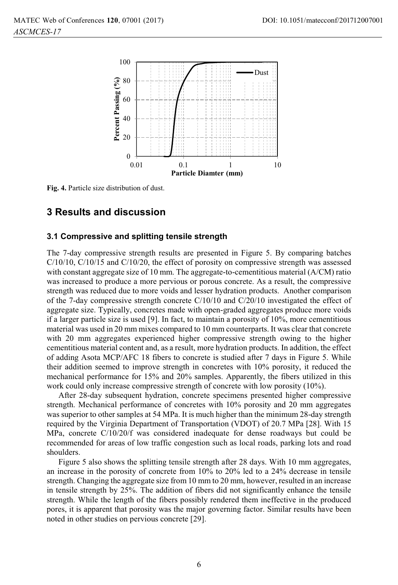

**Fig. 4.** Particle size distribution of dust.

### **3 Results and discussion**

### **3.1 Compressive and splitting tensile strength**

The 7-day compressive strength results are presented in Figure 5. By comparing batches  $C/10/10$ ,  $C/10/15$  and  $C/10/20$ , the effect of porosity on compressive strength was assessed with constant aggregate size of 10 mm. The aggregate-to-cementitious material (A/CM) ratio was increased to produce a more pervious or porous concrete. As a result, the compressive strength was reduced due to more voids and lesser hydration products. Another comparison of the 7-day compressive strength concrete C/10/10 and C/20/10 investigated the effect of aggregate size. Typically, concretes made with open-graded aggregates produce more voids if a larger particle size is used [9]. In fact, to maintain a porosity of 10%, more cementitious material was used in 20 mm mixes compared to 10 mm counterparts. It was clear that concrete with 20 mm aggregates experienced higher compressive strength owing to the higher cementitious material content and, as a result, more hydration products. In addition, the effect of adding Asota MCP/AFC 18 fibers to concrete is studied after 7 days in Figure 5. While their addition seemed to improve strength in concretes with 10% porosity, it reduced the mechanical performance for 15% and 20% samples. Apparently, the fibers utilized in this work could only increase compressive strength of concrete with low porosity (10%).

After 28-day subsequent hydration, concrete specimens presented higher compressive strength. Mechanical performance of concretes with 10% porosity and 20 mm aggregates was superior to other samples at 54 MPa. It is much higher than the minimum 28-day strength required by the Virginia Department of Transportation (VDOT) of 20.7 MPa [28]. With 15 MPa, concrete C/10/20/f was considered inadequate for dense roadways but could be recommended for areas of low traffic congestion such as local roads, parking lots and road shoulders.

Figure 5 also shows the splitting tensile strength after 28 days. With 10 mm aggregates, an increase in the porosity of concrete from 10% to 20% led to a 24% decrease in tensile strength. Changing the aggregate size from 10 mm to 20 mm, however, resulted in an increase in tensile strength by 25%. The addition of fibers did not significantly enhance the tensile strength. While the length of the fibers possibly rendered them ineffective in the produced pores, it is apparent that porosity was the major governing factor. Similar results have been noted in other studies on pervious concrete [29].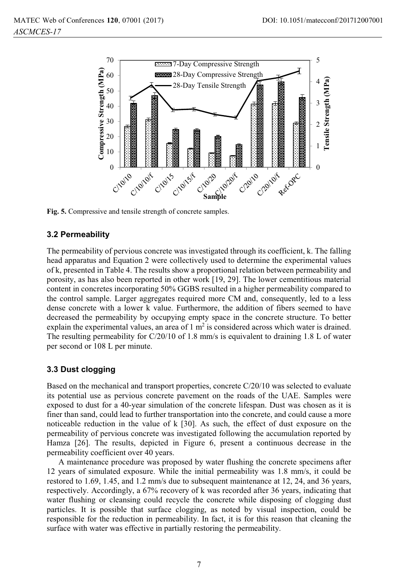

**Fig. 5.** Compressive and tensile strength of concrete samples.

### **3.2 Permeability**

The permeability of pervious concrete was investigated through its coefficient, k. The falling head apparatus and Equation 2 were collectively used to determine the experimental values of k, presented in Table 4. The results show a proportional relation between permeability and porosity, as has also been reported in other work [19, 29]. The lower cementitious material content in concretes incorporating 50% GGBS resulted in a higher permeability compared to the control sample. Larger aggregates required more CM and, consequently, led to a less dense concrete with a lower k value. Furthermore, the addition of fibers seemed to have decreased the permeability by occupying empty space in the concrete structure. To better explain the experimental values, an area of  $1 \text{ m}^2$  is considered across which water is drained. The resulting permeability for C/20/10 of 1.8 mm/s is equivalent to draining 1.8 L of water per second or 108 L per minute.

### **3.3 Dust clogging**

Based on the mechanical and transport properties, concrete C/20/10 was selected to evaluate its potential use as pervious concrete pavement on the roads of the UAE. Samples were exposed to dust for a 40-year simulation of the concrete lifespan. Dust was chosen as it is finer than sand, could lead to further transportation into the concrete, and could cause a more noticeable reduction in the value of k [30]. As such, the effect of dust exposure on the permeability of pervious concrete was investigated following the accumulation reported by Hamza [26]. The results, depicted in Figure 6, present a continuous decrease in the permeability coefficient over 40 years.

A maintenance procedure was proposed by water flushing the concrete specimens after 12 years of simulated exposure. While the initial permeability was 1.8 mm/s, it could be restored to 1.69, 1.45, and 1.2 mm/s due to subsequent maintenance at 12, 24, and 36 years, respectively. Accordingly, a 67% recovery of k was recorded after 36 years, indicating that water flushing or cleansing could recycle the concrete while disposing of clogging dust particles. It is possible that surface clogging, as noted by visual inspection, could be responsible for the reduction in permeability. In fact, it is for this reason that cleaning the surface with water was effective in partially restoring the permeability.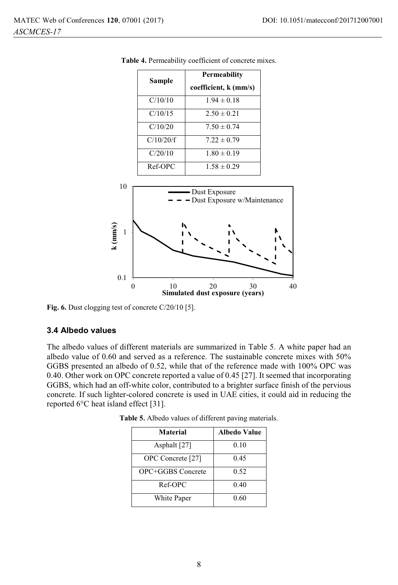|           | <b>Permeability</b>   |  |  |  |
|-----------|-----------------------|--|--|--|
| Sample    | coefficient, k (mm/s) |  |  |  |
| C/10/10   | $1.94 \pm 0.18$       |  |  |  |
| C/10/15   | $2.50 \pm 0.21$       |  |  |  |
| C/10/20   | $7.50 \pm 0.74$       |  |  |  |
| C/10/20/f | $7.22 \pm 0.79$       |  |  |  |
| C/20/10   | $1.80 \pm 0.19$       |  |  |  |
| Ref-OPC   | $1.58 \pm 0.29$       |  |  |  |

**Table 4.** Permeability coefficient of concrete mixes.



**Fig. 6.** Dust clogging test of concrete C/20/10 [5].

### **3.4 Albedo values**

The albedo values of different materials are summarized in Table 5. A white paper had an albedo value of 0.60 and served as a reference. The sustainable concrete mixes with 50% GGBS presented an albedo of 0.52, while that of the reference made with 100% OPC was 0.40. Other work on OPC concrete reported a value of 0.45 [27]. It seemed that incorporating GGBS, which had an off-white color, contributed to a brighter surface finish of the pervious concrete. If such lighter-colored concrete is used in UAE cities, it could aid in reducing the reported 6°C heat island effect [31].

| <b>Material</b>   | Albedo Value |  |  |
|-------------------|--------------|--|--|
| Asphalt [27]      | 0.10         |  |  |
| OPC Concrete [27] | 0.45         |  |  |
| OPC+GGBS Concrete | 0.52         |  |  |
| Ref-OPC           | 0.40         |  |  |
| White Paper       | 0.60         |  |  |

**Table 5.** Albedo values of different paving materials.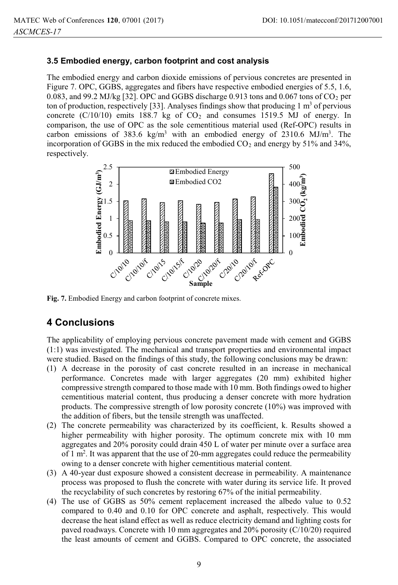### **3.5 Embodied energy, carbon footprint and cost analysis**

The embodied energy and carbon dioxide emissions of pervious concretes are presented in Figure 7. OPC, GGBS, aggregates and fibers have respective embodied energies of 5.5, 1.6, 0.083, and 99.2 MJ/kg [32]. OPC and GGBS discharge 0.913 tons and 0.067 tons of  $CO<sub>2</sub>$  per ton of production, respectively [33]. Analyses findings show that producing 1  $\text{m}^3$  of pervious concrete  $(C/10/10)$  emits 188.7 kg of  $CO<sub>2</sub>$  and consumes 1519.5 MJ of energy. In comparison, the use of OPC as the sole cementitious material used (Ref-OPC) results in carbon emissions of 383.6 kg/m<sup>3</sup> with an embodied energy of 2310.6 MJ/m<sup>3</sup>. The incorporation of GGBS in the mix reduced the embodied  $CO<sub>2</sub>$  and energy by 51% and 34%, respectively.



**Fig. 7.** Embodied Energy and carbon footprint of concrete mixes.

# **4 Conclusions**

The applicability of employing pervious concrete pavement made with cement and GGBS (1:1) was investigated. The mechanical and transport properties and environmental impact were studied. Based on the findings of this study, the following conclusions may be drawn:

- (1) A decrease in the porosity of cast concrete resulted in an increase in mechanical performance. Concretes made with larger aggregates (20 mm) exhibited higher compressive strength compared to those made with 10 mm. Both findings owed to higher cementitious material content, thus producing a denser concrete with more hydration products. The compressive strength of low porosity concrete (10%) was improved with the addition of fibers, but the tensile strength was unaffected.
- (2) The concrete permeability was characterized by its coefficient, k. Results showed a higher permeability with higher porosity. The optimum concrete mix with 10 mm aggregates and 20% porosity could drain 450 L of water per minute over a surface area of 1 m<sup>2</sup>. It was apparent that the use of 20-mm aggregates could reduce the permeability owing to a denser concrete with higher cementitious material content.
- (3) A 40-year dust exposure showed a consistent decrease in permeability. A maintenance process was proposed to flush the concrete with water during its service life. It proved the recyclability of such concretes by restoring 67% of the initial permeability.
- (4) The use of GGBS as 50% cement replacement increased the albedo value to 0.52 compared to 0.40 and 0.10 for OPC concrete and asphalt, respectively. This would decrease the heat island effect as well as reduce electricity demand and lighting costs for paved roadways. Concrete with 10 mm aggregates and 20% porosity (C/10/20) required the least amounts of cement and GGBS. Compared to OPC concrete, the associated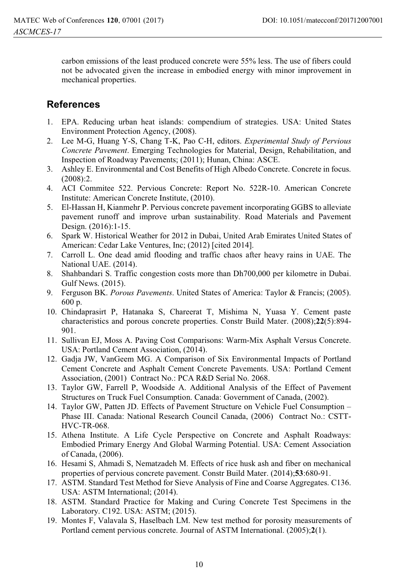carbon emissions of the least produced concrete were 55% less. The use of fibers could not be advocated given the increase in embodied energy with minor improvement in mechanical properties.

### **References**

- 1. EPA. Reducing urban heat islands: compendium of strategies. USA: United States Environment Protection Agency, (2008).
- 2. Lee M-G, Huang Y-S, Chang T-K, Pao C-H, editors. *Experimental Study of Pervious Concrete Pavement*. Emerging Technologies for Material, Design, Rehabilitation, and Inspection of Roadway Pavements; (2011); Hunan, China: ASCE.
- 3. Ashley E. Environmental and Cost Benefits of High Albedo Concrete. Concrete in focus. (2008):2.
- 4. ACI Commitee 522. Pervious Concrete: Report No. 522R-10. American Concrete Institute: American Concrete Institute, (2010).
- 5. El-Hassan H, Kianmehr P. Pervious concrete pavement incorporating GGBS to alleviate pavement runoff and improve urban sustainability. Road Materials and Pavement Design. (2016):1-15.
- 6. Spark W. Historical Weather for 2012 in Dubai, United Arab Emirates United States of American: Cedar Lake Ventures, Inc; (2012) [cited 2014].
- 7. Carroll L. One dead amid flooding and traffic chaos after heavy rains in UAE. The National UAE. (2014).
- 8. Shahbandari S. Traffic congestion costs more than Dh700,000 per kilometre in Dubai. Gulf News. (2015).
- 9. Ferguson BK. *Porous Pavements*. United States of America: Taylor & Francis; (2005). 600 p.
- 10. Chindaprasirt P, Hatanaka S, Chareerat T, Mishima N, Yuasa Y. Cement paste characteristics and porous concrete properties. Constr Build Mater. (2008);**22**(5):894- 901.
- 11. Sullivan EJ, Moss A. Paving Cost Comparisons: Warm-Mix Asphalt Versus Concrete. USA: Portland Cement Association, (2014).
- 12. Gadja JW, VanGeem MG. A Comparison of Six Environmental Impacts of Portland Cement Concrete and Asphalt Cement Concrete Pavements. USA: Portland Cement Association, (2001) Contract No.: PCA R&D Serial No. 2068.
- 13. Taylor GW, Farrell P, Woodside A. Additional Analysis of the Effect of Pavement Structures on Truck Fuel Consumption. Canada: Government of Canada, (2002).
- 14. Taylor GW, Patten JD. Effects of Pavement Structure on Vehicle Fuel Consumption Phase III. Canada: National Research Council Canada, (2006) Contract No.: CSTT-HVC-TR-068.
- 15. Athena Institute. A Life Cycle Perspective on Concrete and Asphalt Roadways: Embodied Primary Energy And Global Warming Potential. USA: Cement Association of Canada, (2006).
- 16. Hesami S, Ahmadi S, Nematzadeh M. Effects of rice husk ash and fiber on mechanical properties of pervious concrete pavement. Constr Build Mater. (2014);**53**:680-91.
- 17. ASTM. Standard Test Method for Sieve Analysis of Fine and Coarse Aggregates. C136. USA: ASTM International; (2014).
- 18. ASTM. Standard Practice for Making and Curing Concrete Test Specimens in the Laboratory. C192. USA: ASTM; (2015).
- 19. Montes F, Valavala S, Haselbach LM. New test method for porosity measurements of Portland cement pervious concrete. Journal of ASTM International. (2005);**2**(1).